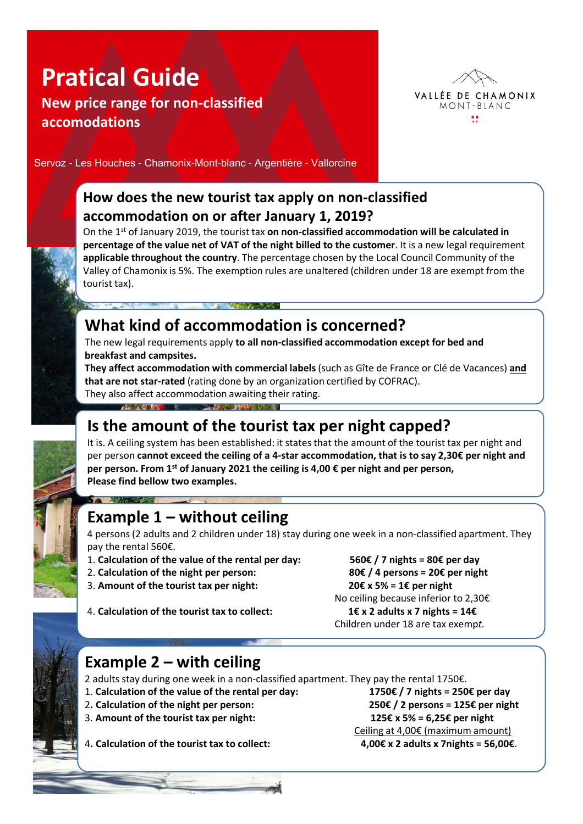# **Pratical Guide**

**New price range for non-classified accomodations**



Servoz - Les Houches - Chamonix-Mont-blanc - Argentière - Vallorcine

#### **How does the new tourist tax apply on non-classified accommodation on or after January 1, 2019?**

On the 1st of January 2019, the tourist tax **on non-classified accommodation will be calculated in percentage of the value net of VAT of the night billed to the customer**. It is a new legal requirement **applicable throughout the country**. The percentage chosen by the Local Council Community of the Valley of Chamonix is 5%. The exemption rules are unaltered (children under 18 are exempt from the tourist tax).

# **What kind of accommodation is concerned?**

**A STATE OF BUILDING** 

The new legal requirements apply **to all non-classified accommodation except for bed and breakfast and campsites.** 

**They affect accommodation with commercial labels** (such as Gîte de France or Clé de Vacances) **and that are not star-rated** (rating done by an organization certified by COFRAC). They also affect accommodation awaiting their rating.

## **Is the amount of the tourist tax per night capped?**

It is. A ceiling system has been established: it states that the amount of the tourist tax per night and per person **cannot exceed the ceiling of a 4-star accommodation, that is to say 2,30€ per night and per person. From 1st of January 2021 the ceiling is 4,00 € per night and per person, Please find bellow two examples.** 

### **Example 1 – without ceiling**

A POLICE IN THE RESIDENCE OF A POST OF A RESIDENCE OF A REAL PROPERTY.

4 persons (2 adults and 2 children under 18) stay during one week in a non-classified apartment. They pay the rental 560€.

- 1. **Calculation of the value of the rental per day: 560€ / 7 nights = 80€ per day**
- 2. **Calculation of the night per person: 80€ / 4 persons = 20€ per night**

**s** *s <i>s s s s s s s s s* 

3. Amount of the tourist tax per night:  $20€ x 5% = 1€$  per night

4. **Calculation of the tourist tax to collect: 1€ x 2 adults x 7 nights = 14€**

No ceiling because inferior to 2,30€ Children under 18 are tax exemp*t.*

#### **Example 2 – with ceiling**

2 adults stay during one week in a non-classified apartment. They pay the rental 1750€.

- 1. **Calculation of the value of the rental per day: 1750€ / 7 nights = 250€ per day**
- 2**. Calculation of the night per person: 250€ / 2 persons = 125€ per night**
- 3. **Amount of the tourist tax per night: 125€ x 5% = 6,25€ per night**

Ceiling at 4,00€ (maximum amount)

4**. Calculation of the tourist tax to collect: 4,00€ x 2 adults x 7nights = 56,00€**.